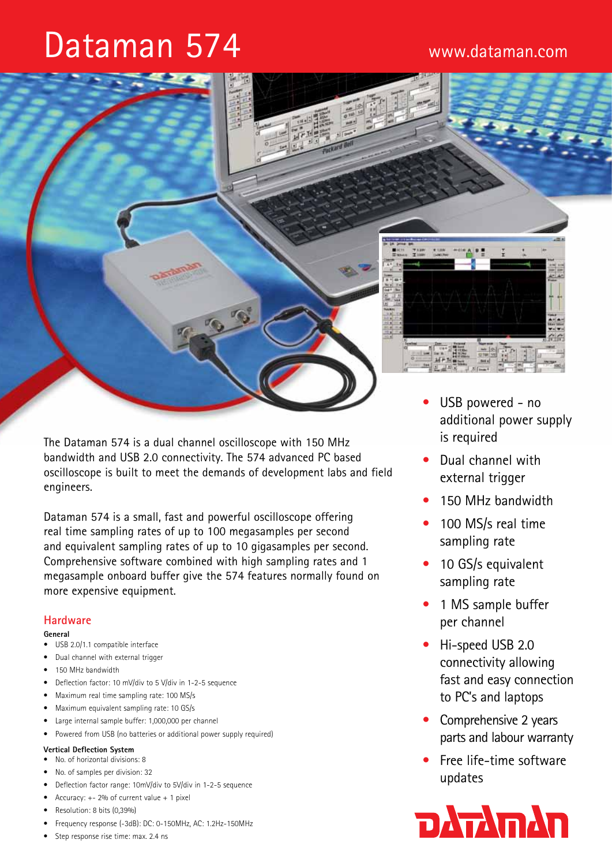# Dataman 574



The Dataman 574 is a dual channel oscilloscope with 150 MHz bandwidth and USB 2.0 connectivity. The 574 advanced PC based oscilloscope is built to meet the demands of development labs and field engineers.

Dataman 574 is a small, fast and powerful oscilloscope offering real time sampling rates of up to 100 megasamples per second and equivalent sampling rates of up to 10 gigasamples per second. Comprehensive software combined with high sampling rates and 1 megasample onboard buffer give the 574 features normally found on more expensive equipment.

# **Hardware**

## **General**

- USB 2.0/1.1 compatible interface
- • Dual channel with external trigger
- 150 MHz bandwidth
- Deflection factor: 10 mV/div to 5 V/div in 1-2-5 sequence
- Maximum real time sampling rate: 100 MS/s
- • Maximum equivalent sampling rate: 10 GS/s
- Large internal sample buffer: 1,000,000 per channel
- Powered from USB (no batteries or additional power supply required)

# **Vertical Deflection System**

- • No. of horizontal divisions: 8
- No. of samples per division: 32
- Deflection factor range: 10mV/div to 5V/div in 1-2-5 sequence
- Accuracy:  $+- 2%$  of current value  $+ 1$  pixel
- Resolution: 8 bits (0,39%)
- Frequency response (-3dB): DC: 0-150MHz, AC: 1.2Hz-150MHz
- Step response rise time: max. 2.4 ns
- USB powered no additional power supply is required
- Dual channel with external trigger
- 150 MHz bandwidth
- 100 MS/s real time sampling rate
- 10 GS/s equivalent sampling rate
- 1 MS sample buffer per channel
- Hi-speed USB 2.0 connectivity allowing fast and easy connection to PC's and laptops
- Comprehensive 2 years parts and labour warranty
- Free life-time software updates